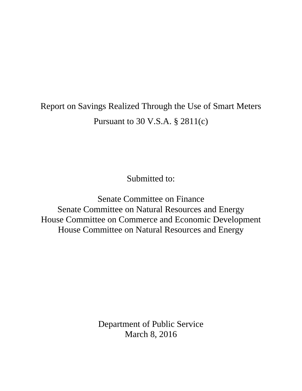# Report on Savings Realized Through the Use of Smart Meters Pursuant to 30 V.S.A. § 2811(c)

Submitted to:

Senate Committee on Finance Senate Committee on Natural Resources and Energy House Committee on Commerce and Economic Development House Committee on Natural Resources and Energy

> Department of Public Service March 8, 2016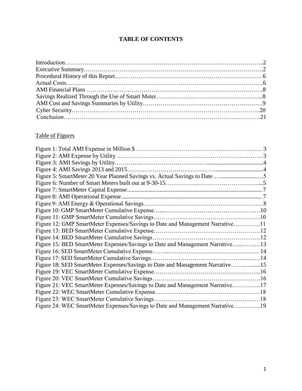# **TABLE OF CONTENTS**

# Table of Figures

| Figure 12: GMP SmartMeter Expenses/Savings to Date and Management Narrative11 |  |
|-------------------------------------------------------------------------------|--|
|                                                                               |  |
|                                                                               |  |
| Figure 15: BED SmartMeter Expenses/Savings to Date and Management Narrative13 |  |
|                                                                               |  |
|                                                                               |  |
| Figure 18: SED SmartMeter Expenses/Savings to Date and Management Narrative15 |  |
|                                                                               |  |
|                                                                               |  |
| Figure 21: VEC SmartMeter Expenses/Savings to Date and Management Narrative17 |  |
|                                                                               |  |
|                                                                               |  |
| Figure 24: WEC SmartMeter Expenses/Savings to Date and Management Narrative19 |  |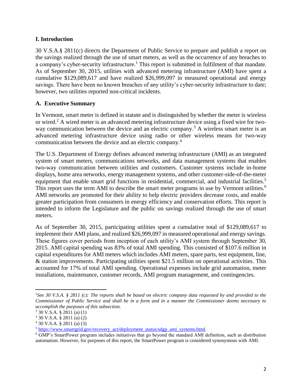#### **I. Introduction**

30 V.S.A.§ 2811(c) directs the Department of Public Service to prepare and publish a report on the savings realized through the use of smart meters, as well as the occurrence of any breaches to a company's cyber-security infrastructure.<sup>1</sup> This report is submitted in fulfilment of that mandate. As of September 30, 2015, utilities with advanced metering infrastructure (AMI) have spent a cumulative \$129,089,617 and have realized \$26,999,097 in measured operational and energy savings. There have been no known breaches of any utility's cyber-security infrastructure to date; however, two utilities reported non-critical incidents.

#### **A. Executive Summary**

In Vermont, smart meter is defined in statute and is distinguished by whether the meter is wireless or wired.<sup>2</sup> A wired meter is an advanced metering infrastructure device using a fixed wire for twoway communication between the device and an electric company.<sup>3</sup> A wireless smart meter is an advanced metering infrastructure device using radio or other wireless means for two-way communication between the device and an electric company.<sup>4</sup>

The U.S. Department of Energy defines advanced metering infrastructure (AMI) as an integrated system of smart meters, communications networks, and data management systems that enables two-way communication between utilities and customers. Customer systems include in-home displays, home area networks, energy management systems, and other customer-side-of-the-meter equipment that enable smart grid functions in residential, commercial, and industrial facilities.<sup>5</sup> This report uses the term AMI to describe the smart meter programs in use by Vermont utilities.<sup>6</sup> AMI networks are promoted for their ability to help electric providers decrease costs, and enable greater participation from consumers in energy efficiency and conservation efforts. This report is intended to inform the Legislature and the public on savings realized through the use of smart meters.

As of September 30, 2015, participating utilities spent a cumulative total of \$129,089,617 to implement their AMI plans, and realized \$26,999,097 in measured operational and energy savings. These figures cover periods from inception of each utility's AMI system through September 30, 2015. AMI capital spending was 83% of total AMI spending. This consisted of \$107.6 million in capital expenditures for AMI meters which includes AMI meters, spare parts, test equipment, line, & station improvements. Participating utilities spent \$21.5 million on operational activities. This accounted for 17% of total AMI spending. Operational expenses include grid automation, meter installations, maintenance, customer records, AMI program management, and contingencies.

 $\overline{a}$ 

<sup>1</sup>*See 30 V.S.A. § 2811 (c): The reports shall be based on electric company data requested by and provided to the Commissioner of Public Service and shall be in a form and in a manner the Commissioner deems necessary to accomplish the purposes of this subsection.*

<sup>2</sup> 30 V.S.A. § 2811 (a) (1)

<sup>3</sup> 30 V.S.A. § 2811 (a) (2)

<sup>4</sup> 30 V.S.A. § 2811 (a) (3)

<sup>5</sup> [https://www.smartgrid.gov/recovery\\_act/deployment\\_status/sdgp\\_ami\\_systems.html](https://www.smartgrid.gov/recovery_act/deployment_status/sdgp_ami_systems.html)

<sup>6</sup> GMP's SmartPower program includes initiatives that go beyond the standard AMI definition, such as distribution automation. However, for purposes of this report, the SmartPower program is considered synonymous with AMI.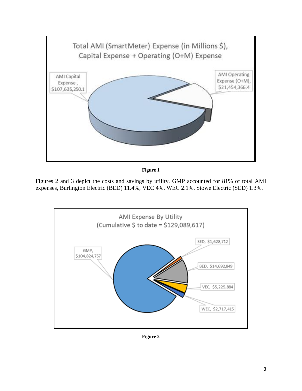

**Figure 1**

Figures 2 and 3 depict the costs and savings by utility. GMP accounted for 81% of total AMI expenses, Burlington Electric (BED) 11.4%, VEC 4%, WEC 2.1%, Stowe Electric (SED) 1.3%.



**Figure 2**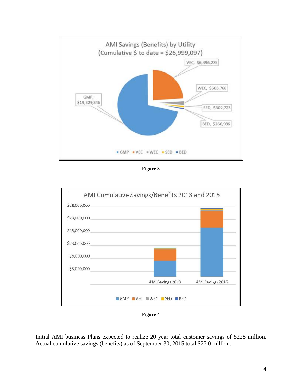

**Figure 3**



**Figure 4**

Initial AMI business Plans expected to realize 20 year total customer savings of \$228 million. Actual cumulative savings (benefits) as of September 30, 2015 total \$27.0 million.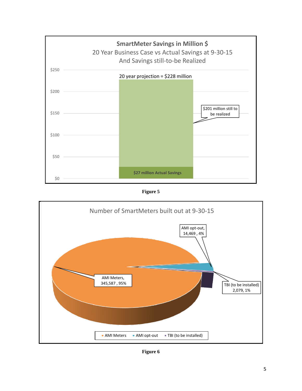

**Figure 5**



**Figure 6**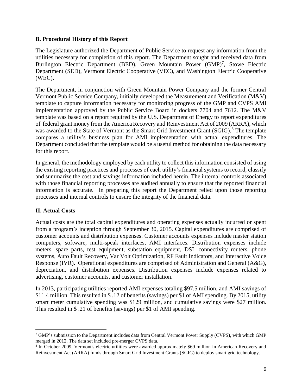### **B. Procedural History of this Report**

The Legislature authorized the Department of Public Service to request any information from the utilities necessary for completion of this report. The Department sought and received data from Burlington Electric Department (BED), Green Mountain Power (GMP)<sup>7</sup>, Stowe Electric Department (SED), Vermont Electric Cooperative (VEC), and Washington Electric Cooperative (WEC).

The Department, in conjunction with Green Mountain Power Company and the former Central Vermont Public Service Company, initially developed the Measurement and Verification (M&V) template to capture information necessary for monitoring progress of the GMP and CVPS AMI implementation approved by the Public Service Board in dockets 7704 and 7612. The M&V template was based on a report required by the U.S. Department of Energy to report expenditures of federal grant money from the America Recovery and Reinvestment Act of 2009 (ARRA), which was awarded to the State of Vermont as the Smart Grid Investment Grant (SGIG).<sup>8</sup> The template compares a utility's business plan for AMI implementation with actual expenditures. The Department concluded that the template would be a useful method for obtaining the data necessary for this report.

In general, the methodology employed by each utility to collect this information consisted of using the existing reporting practices and processes of each utility's financial systems to record, classify and summarize the cost and savings information included herein. The internal controls associated with those financial reporting processes are audited annually to ensure that the reported financial information is accurate. In preparing this report the Department relied upon those reporting processes and internal controls to ensure the integrity of the financial data.

## **II. Actual Costs**

 $\overline{\phantom{a}}$ 

Actual costs are the total capital expenditures and operating expenses actually incurred or spent from a program's inception through September 30, 2015. Capital expenditures are comprised of customer accounts and distribution expenses. Customer accounts expenses include master station computers, software, multi-speak interfaces, AMI interfaces. Distribution expenses include meters, spare parts, test equipment, substation equipment, DSL connectivity routers, phone systems, Auto Fault Recovery, Var Volt Optimization, RF Fault Indicators, and Interactive Voice Response (IVR). Operational expenditures are comprised of Administration and General (A&G), depreciation, and distribution expenses. Distribution expenses include expenses related to advertising, customer accounts, and customer installation.

In 2013, participating utilities reported AMI expenses totaling \$97.5 million, and AMI savings of \$11.4 million. This resulted in \$ .12 of benefits (savings) per \$1 of AMI spending. By 2015, utility smart meter cumulative spending was \$129 million, and cumulative savings were \$27 million. This resulted in \$ .21 of benefits (savings) per \$1 of AMI spending.

<sup>7</sup> GMP's submission to the Department includes data from Central Vermont Power Supply (CVPS), with which GMP merged in 2012. The data set included pre-merger CVPS data.

<sup>&</sup>lt;sup>8</sup> In October 2009, Vermont's electric utilities were awarded approximately \$69 million in American Recovery and Reinvestment Act (ARRA) funds through Smart Grid Investment Grants (SGIG) to deploy smart grid technology.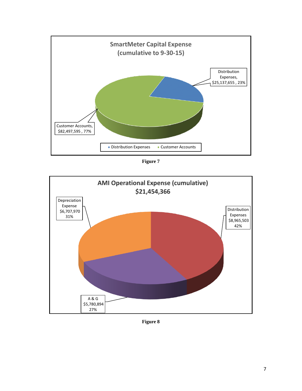

**Figure 7**



**Figure 8**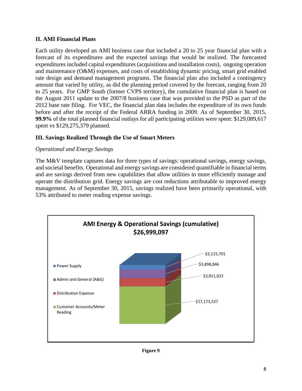## **II. AMI Financial Plans**

Each utility developed an AMI business case that included a 20 to 25 year financial plan with a forecast of its expenditures and the expected savings that would be realized. The forecasted expenditures included capital expenditures (acquisitions and installation costs), ongoing operation and maintenance (O&M) expenses, and costs of establishing dynamic pricing, smart grid enabled rate design and demand management programs. The financial plan also included a contingency amount that varied by utility, as did the planning period covered by the forecast, ranging from 20 to 25 years. For GMP South (former CVPS territory), the cumulative financial plan is based on the August 2011 update to the 2007/8 business case that was provided to the PSD as part of the 2012 base rate filing. For VEC, the financial plan data includes the expenditure of its own funds before and after the receipt of the Federal ARRA funding in 2009. As of September 30, 2015, **99.9%** of the total planned financial outlays for all participating utilities were spent: \$129,089,617 spent vs \$129,275,379 planned.

# **III. Savings Realized Through the Use of Smart Meters**

## *Operational and Energy Savings*

The M&V template captures data for three types of savings: operational savings, energy savings, and societal benefits. Operational and energy savings are considered quantifiable in financial terms and are savings derived from new capabilities that allow utilities to more efficiently manage and operate the distribution grid. Energy savings are cost reductions attributable to improved energy management. As of September 30, 2015, savings realized have been primarily operational, with 53% attributed to meter reading expense savings.



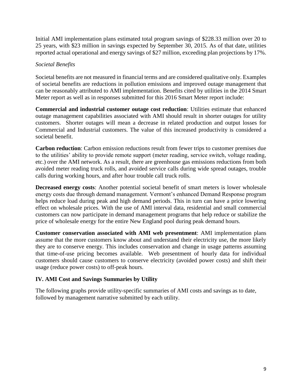Initial AMI implementation plans estimated total program savings of \$228.33 million over 20 to 25 years, with \$23 million in savings expected by September 30, 2015. As of that date, utilities reported actual operational and energy savings of \$27 million, exceeding plan projections by 17%.

## *Societal Benefits*

Societal benefits are not measured in financial terms and are considered qualitative only. Examples of societal benefits are reductions in pollution emissions and improved outage management that can be reasonably attributed to AMI implementation. Benefits cited by utilities in the 2014 Smart Meter report as well as in responses submitted for this 2016 Smart Meter report include:

**Commercial and industrial customer outage cost reduction**: Utilities estimate that enhanced outage management capabilities associated with AMI should result in shorter outages for utility customers. Shorter outages will mean a decrease in related production and output losses for Commercial and Industrial customers. The value of this increased productivity is considered a societal benefit.

**Carbon reduction**: Carbon emission reductions result from fewer trips to customer premises due to the utilities' ability to provide remote support (meter reading, service switch, voltage reading, etc.) over the AMI network. As a result, there are greenhouse gas emissions reductions from both avoided meter reading truck rolls, and avoided service calls during wide spread outages, trouble calls during working hours, and after hour trouble call truck rolls.

**Decreased energy costs**: Another potential societal benefit of smart meters is lower wholesale energy costs due through demand management. Vermont's enhanced Demand Response program helps reduce load during peak and high demand periods. This in turn can have a price lowering effect on wholesale prices. With the use of AMI interval data, residential and small commercial customers can now participate in demand management programs that help reduce or stabilize the price of wholesale energy for the entire New England pool during peak demand hours.

**Customer conservation associated with AMI web presentment**: AMI implementation plans assume that the more customers know about and understand their electricity use, the more likely they are to conserve energy. This includes conservation and change in usage patterns assuming that time-of-use pricing becomes available. Web presentment of hourly data for individual customers should cause customers to conserve electricity (avoided power costs) and shift their usage (reduce power costs) to off-peak hours.

## **IV. AMI Cost and Savings Summaries by Utility**

The following graphs provide utility-specific summaries of AMI costs and savings as to date, followed by management narrative submitted by each utility.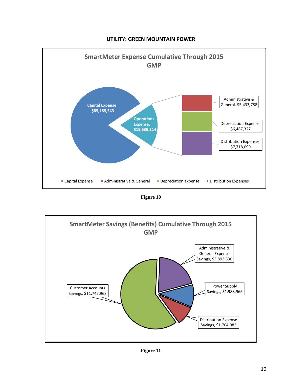

**UTILITY: GREEN MOUNTAIN POWER**

**Figure 10**



**Figure 11**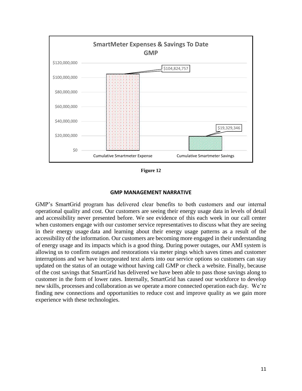

**Figure 12**

#### **GMP MANAGEMENT NARRATIVE**

GMP's SmartGrid program has delivered clear benefits to both customers and our internal operational quality and cost. Our customers are seeing their energy usage data in levels of detail and accessibility never presented before. We see evidence of this each week in our call center when customers engage with our customer service representatives to discuss what they are seeing in their energy usage data and learning about their energy usage patterns as a result of the accessibility of the information. Our customers are becoming more engaged in their understanding of energy usage and its impacts which is a good thing. During power outages, our AMI system is allowing us to confirm outages and restorations via meter pings which saves times and customer interruptions and we have incorporated text alerts into our service options so customers can stay updated on the status of an outage without having call GMP or check a website. Finally, because of the cost savings that SmartGrid has delivered we have been able to pass those savings along to customer in the form of lower rates. Internally, SmartGrid has caused our workforce to develop new skills, processes and collaboration as we operate a more connected operation each day. We're finding new connections and opportunities to reduce cost and improve quality as we gain more experience with these technologies.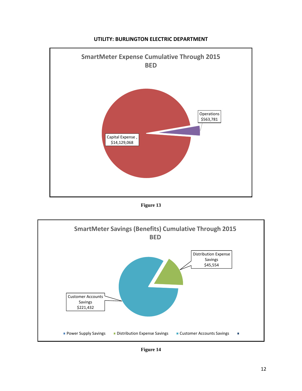

#### **UTILITY: BURLINGTON ELECTRIC DEPARTMENT**

**Figure 13**



**Figure 14**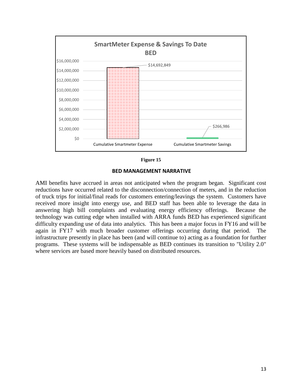

#### **Figure 15**

#### **BED MANAGEMENT NARRATIVE**

AMI benefits have accrued in areas not anticipated when the program began. Significant cost reductions have occurred related to the disconnection/connection of meters, and in the reduction of truck trips for initial/final reads for customers entering/leavings the system. Customers have received more insight into energy use, and BED staff has been able to leverage the data in answering high bill complaints and evaluating energy efficiency offerings. Because the technology was cutting edge when installed with ARRA funds BED has experienced significant difficulty expanding use of data into analytics. This has been a major focus in FY16 and will be again in FY17 with much broader customer offerings occurring during that period. The infrastructure presently in place has been (and will continue to) acting as a foundation for further programs. These systems will be indispensable as BED continues its transition to "Utility 2.0" where services are based more heavily based on distributed resources.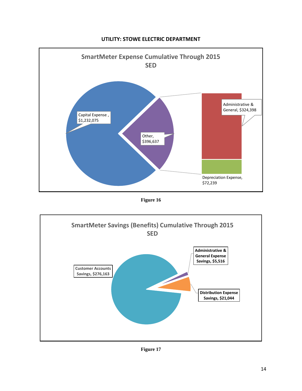

#### **UTILITY: STOWE ELECTRIC DEPARTMENT**

**Figure 16**



**Figure 17**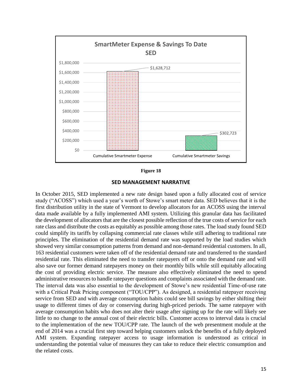

**Figure 18**

**SED MANAGEMENT NARRATIVE**

In October 2015, SED implemented a new rate design based upon a fully allocated cost of service study ("ACOSS") which used a year's worth of Stowe's smart meter data. SED believes that it is the first distribution utility in the state of Vermont to develop allocators for an ACOSS using the interval data made available by a fully implemented AMI system. Utilizing this granular data has facilitated the development of allocators that are the closest possible reflection of the true costs of service for each rate class and distribute the costs as equitably as possible among those rates. The load study found SED could simplify its tariffs by collapsing commercial rate classes while still adhering to traditional rate principles. The elimination of the residential demand rate was supported by the load studies which showed very similar consumption patterns from demand and non-demand residential customers. In all, 163 residential customers were taken off of the residential demand rate and transferred to the standard residential rate. This eliminated the need to transfer ratepayers off or onto the demand rate and will also save our former demand ratepayers money on their monthly bills while still equitably allocating the cost of providing electric service. The measure also effectively eliminated the need to spend administrative resources to handle ratepayer questions and complaints associated with the demand rate. The interval data was also essential to the development of Stowe's new residential Time-of-use rate with a Critical Peak Pricing component ("TOU/CPP"). As designed, a residential ratepayer receiving service from SED and with average consumption habits could see bill savings by either shifting their usage to different times of day or conserving during high-priced periods. The same ratepayer with average consumption habits who does not alter their usage after signing up for the rate will likely see little to no change to the annual cost of their electric bills. Customer access to interval data is crucial to the implementation of the new TOU/CPP rate. The launch of the web presentment module at the end of 2014 was a crucial first step toward helping customers unlock the benefits of a fully deployed AMI system. Expanding ratepayer access to usage information is understood as critical in understanding the potential value of measures they can take to reduce their electric consumption and the related costs.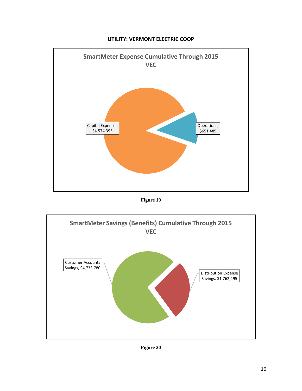

#### **UTILITY: VERMONT ELECTRIC COOP**

**Figure 19**



**Figure 20**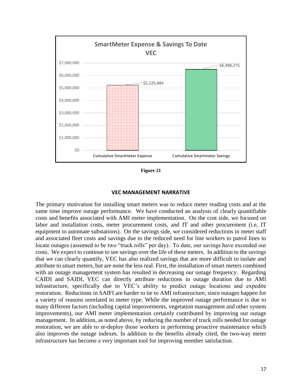

**Figure 21**

#### **VEC MANAGEMENT NARRATIVE**

The primary motivation for installing smart meters was to reduce meter reading costs and at the same time improve outage performance. We have conducted an analysis of clearly quantifiable costs and benefits associated with AMI meter implementation. On the cost side, we focused on labor and installation costs, meter procurement costs, and IT and other procurement (i.e, IT equipment to automate substations). On the savings side, we considered reductions in meter staff and associated fleet costs and savings due to the reduced need for line workers to patrol lines to locate outages (assumed to be two "truck rolls" per day). To date, our savings have exceeded our costs. We expect to continue to see savings over the life of these meters. In addition to the savings that we can clearly quantify, VEC has also realized savings that are more difficult to isolate and attribute to smart meters, but are none the less real. First, the installation of smart meters combined with an outage management system has resulted in decreasing our outage frequency. Regarding CAIDI and SAIDI, VEC can directly attribute reductions in outage duration due to AMI infrastructure, specifically due to VEC's ability to predict outage locations and expedite restoration. Reductions in SAIFI are harder to tie to AMI infrastructure, since outages happen for a variety of reasons unrelated to meter type. While the improved outage performance is due to many different factors (including capital improvements, vegetation management and other system improvements), our AMI meter implementation certainly contributed by improving our outage management. In addition, as noted above, by reducing the number of truck rolls needed for outage restoration, we are able to re-deploy those workers in performing proactive maintenance which also improves the outage indexes. In addition to the benefits already cited, the two-way meter infrastructure has become a very important tool for improving member satisfaction.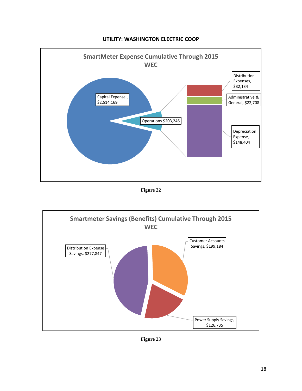

#### **UTILITY: WASHINGTON ELECTRIC COOP**

**Figure 22**



**Figure 23**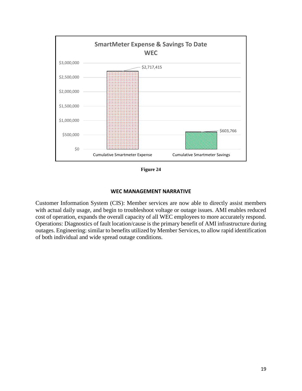

**Figure 24**

#### **WEC MANAGEMENT NARRATIVE**

Customer Information System (CIS): Member services are now able to directly assist members with actual daily usage, and begin to troubleshoot voltage or outage issues. AMI enables reduced cost of operation, expands the overall capacity of all WEC employees to more accurately respond. Operations: Diagnostics of fault location/cause is the primary benefit of AMI infrastructure during outages. Engineering: similar to benefits utilized by Member Services, to allow rapid identification of both individual and wide spread outage conditions.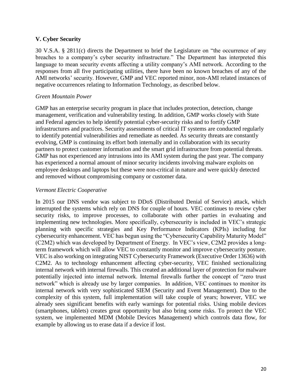#### **V. Cyber Security**

30 V.S.A. § 2811(c) directs the Department to brief the Legislature on "the occurrence of any breaches to a company's cyber security infrastructure." The Department has interpreted this language to mean security events affecting a utility company's AMI network. According to the responses from all five participating utilities, there have been no known breaches of any of the AMI networks' security. However, GMP and VEC reported minor, non-AMI related instances of negative occurrences relating to Information Technology, as described below.

#### *Green Mountain Power*

GMP has an enterprise security program in place that includes protection, detection, change management, verification and vulnerability testing. In addition, GMP works closely with State and Federal agencies to help identify potential cyber-security risks and to fortify GMP infrastructures and practices. Security assessments of critical IT systems are conducted regularly to identify potential vulnerabilities and remediate as needed. As security threats are constantly evolving, GMP is continuing its effort both internally and in collaboration with its security partners to protect customer information and the smart grid infrastructure from potential threats. GMP has not experienced any intrusions into its AMI system during the past year. The company has experienced a normal amount of minor security incidents involving malware exploits on employee desktops and laptops but these were non-critical in nature and were quickly detected and removed without compromising company or customer data.

#### *Vermont Electric Cooperative*

In 2015 our DNS vendor was subject to DDoS (Distributed Denial of Service) attack, which interrupted the systems which rely on DNS for couple of hours. VEC continues to review cyber security risks, to improve processes, to collaborate with other parties in evaluating and implementing new technologies. More specifically, cybersecurity is included in VEC's strategic planning with specific strategies and Key Performance Indicators (KPIs) including for cybersecurity enhancement. VEC has begun using the "Cybersecurity Capability Maturity Model" (C2M2) which was developed by Department of Energy. In VEC's view, C2M2 provides a longterm framework which will allow VEC to constantly monitor and improve cybersecurity posture. VEC is also working on integrating NIST Cybersecurity Framework (Executive Order 13636) with C2M2. As to technology enhancement affecting cyber-security, VEC finished sectionalizing internal network with internal firewalls. This created an additional layer of protection for malware potentially injected into internal network. Internal firewalls further the concept of "zero trust network" which is already use by larger companies. In addition, VEC continues to monitor its internal network with very sophisticated SIEM (Security and Event Management). Due to the complexity of this system, full implementation will take couple of years; however, VEC we already sees significant benefits with early warnings for potential risks. Using mobile devices (smartphones, tablets) creates great opportunity but also bring some risks. To protect the VEC system, we implemented MDM (Mobile Devices Management) which controls data flow, for example by allowing us to erase data if a device if lost.